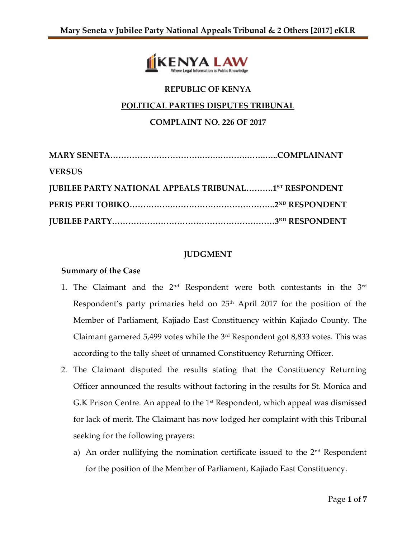

# **REPUBLIC OF KENYA**

### **POLITICAL PARTIES DISPUTES TRIBUNAL**

## **COMPLAINT NO. 226 OF 2017**

| <b>VERSUS</b>                                                |  |
|--------------------------------------------------------------|--|
| <b>JUBILEE PARTY NATIONAL APPEALS TRIBUNAL1ST RESPONDENT</b> |  |
|                                                              |  |
|                                                              |  |

## **JUDGMENT**

### **Summary of the Case**

- 1. The Claimant and the  $2<sup>nd</sup>$  Respondent were both contestants in the  $3<sup>rd</sup>$ Respondent's party primaries held on 25<sup>th</sup> April 2017 for the position of the Member of Parliament, Kajiado East Constituency within Kajiado County. The Claimant garnered 5,499 votes while the  $3^{\text{rd}}$  Respondent got 8,833 votes. This was according to the tally sheet of unnamed Constituency Returning Officer.
- 2. The Claimant disputed the results stating that the Constituency Returning Officer announced the results without factoring in the results for St. Monica and G.K Prison Centre. An appeal to the 1<sup>st</sup> Respondent, which appeal was dismissed for lack of merit. The Claimant has now lodged her complaint with this Tribunal seeking for the following prayers:
	- a) An order nullifying the nomination certificate issued to the  $2<sup>nd</sup>$  Respondent for the position of the Member of Parliament, Kajiado East Constituency.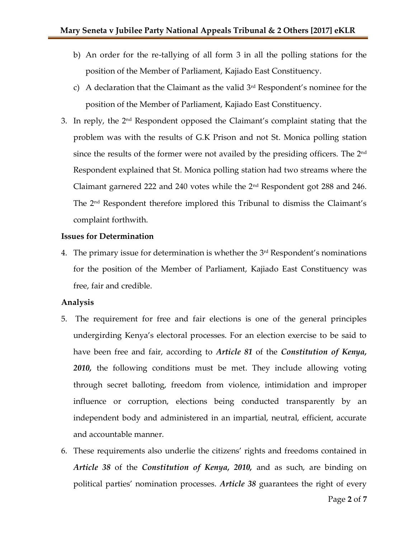- b) An order for the re-tallying of all form 3 in all the polling stations for the position of the Member of Parliament, Kajiado East Constituency.
- c) A declaration that the Claimant as the valid  $3<sup>rd</sup>$  Respondent's nominee for the position of the Member of Parliament, Kajiado East Constituency.
- 3. In reply, the 2<sup>nd</sup> Respondent opposed the Claimant's complaint stating that the problem was with the results of G.K Prison and not St. Monica polling station since the results of the former were not availed by the presiding officers. The 2<sup>nd</sup> Respondent explained that St. Monica polling station had two streams where the Claimant garnered 222 and 240 votes while the 2nd Respondent got 288 and 246. The 2nd Respondent therefore implored this Tribunal to dismiss the Claimant's complaint forthwith.

#### **Issues for Determination**

4. The primary issue for determination is whether the 3 rd Respondent's nominations for the position of the Member of Parliament, Kajiado East Constituency was free, fair and credible.

#### **Analysis**

- 5. The requirement for free and fair elections is one of the general principles undergirding Kenya's electoral processes. For an election exercise to be said to have been free and fair, according to *Article 81* of the *Constitution of Kenya, 2010,* the following conditions must be met. They include allowing voting through secret balloting, freedom from violence, intimidation and improper influence or corruption, elections being conducted transparently by an independent body and administered in an impartial, neutral, efficient, accurate and accountable manner.
- 6. These requirements also underlie the citizens' rights and freedoms contained in *Article 38* of the *Constitution of Kenya, 2010,* and as such, are binding on political parties' nomination processes. *Article 38* guarantees the right of every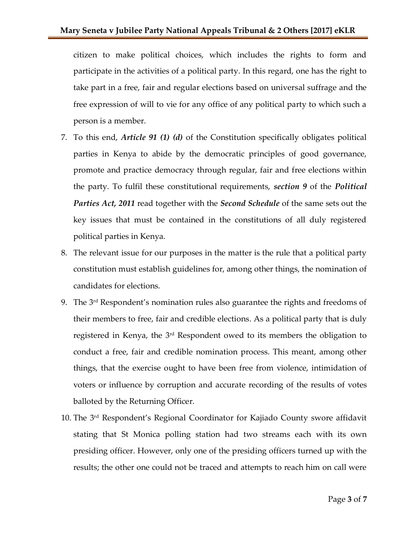citizen to make political choices, which includes the rights to form and participate in the activities of a political party. In this regard, one has the right to take part in a free, fair and regular elections based on universal suffrage and the free expression of will to vie for any office of any political party to which such a person is a member.

- 7. To this end, *Article 91 (1) (d)* of the Constitution specifically obligates political parties in Kenya to abide by the democratic principles of good governance, promote and practice democracy through regular, fair and free elections within the party. To fulfil these constitutional requirements, *section 9* of the *Political Parties Act, 2011* read together with the *Second Schedule* of the same sets out the key issues that must be contained in the constitutions of all duly registered political parties in Kenya.
- 8. The relevant issue for our purposes in the matter is the rule that a political party constitution must establish guidelines for, among other things, the nomination of candidates for elections.
- 9. The 3 rd Respondent's nomination rules also guarantee the rights and freedoms of their members to free, fair and credible elections. As a political party that is duly registered in Kenya, the 3<sup>rd</sup> Respondent owed to its members the obligation to conduct a free, fair and credible nomination process. This meant, among other things, that the exercise ought to have been free from violence, intimidation of voters or influence by corruption and accurate recording of the results of votes balloted by the Returning Officer.
- 10. The 3 rd Respondent's Regional Coordinator for Kajiado County swore affidavit stating that St Monica polling station had two streams each with its own presiding officer. However, only one of the presiding officers turned up with the results; the other one could not be traced and attempts to reach him on call were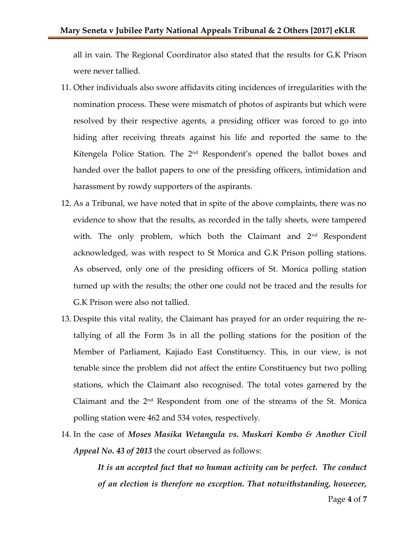all in vain. The Regional Coordinator also stated that the results for G.K Prison were never tallied.

- 11. Other individuals also swore affidavits citing incidences of irregularities with the nomination process. These were mismatch of photos of aspirants but which were resolved by their respective agents, a presiding officer was forced to go into hiding after receiving threats against his life and reported the same to the Kitengela Police Station. The 2<sup>nd</sup> Respondent's opened the ballot boxes and handed over the ballot papers to one of the presiding officers, intimidation and harassment by rowdy supporters of the aspirants.
- 12. As a Tribunal, we have noted that in spite of the above complaints, there was no evidence to show that the results, as recorded in the tally sheets, were tampered with. The only problem, which both the Claimant and  $2<sup>nd</sup>$  Respondent acknowledged, was with respect to St Monica and G.K Prison polling stations. As observed, only one of the presiding officers of St. Monica polling station turned up with the results; the other one could not be traced and the results for G.K Prison were also not tallied.
- 13. Despite this vital reality, the Claimant has prayed for an order requiring the retallying of all the Form 3s in all the polling stations for the position of the Member of Parliament, Kajiado East Constituency. This, in our view, is not tenable since the problem did not affect the entire Constituency but two polling stations, which the Claimant also recognised. The total votes garnered by the Claimant and the 2nd Respondent from one of the streams of the St. Monica polling station were 462 and 534 votes, respectively.
- 14. In the case of *Moses Masika Wetangula vs. Muskari Kombo & Another Civil Appeal No. 43 of 2013* the court observed as follows:

*It is an accepted fact that no human activity can be perfect. The conduct of an election is therefore no exception. That notwithstanding, however,*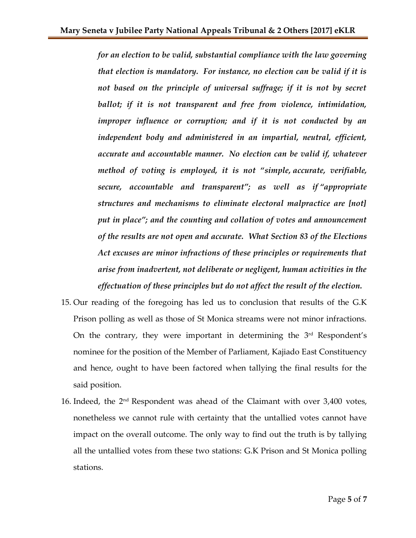*for an election to be valid, substantial compliance with the law governing that election is mandatory. For instance, no election can be valid if it is*  not based on the principle of universal suffrage; if it is not by secret *ballot; if it is not transparent and free from violence, intimidation, improper influence or corruption; and if it is not conducted by an independent body and administered in an impartial, neutral, efficient, accurate and accountable manner. No election can be valid if, whatever method of voting is employed, it is not "simple, accurate, verifiable, secure, accountable and transparent"; as well as if "appropriate structures and mechanisms to eliminate electoral malpractice are [not] put in place"; and the counting and collation of votes and announcement of the results are not open and accurate. What Section 83 of the Elections Act excuses are minor infractions of these principles or requirements that arise from inadvertent, not deliberate or negligent, human activities in the effectuation of these principles but do not affect the result of the election.*

- 15. Our reading of the foregoing has led us to conclusion that results of the G.K Prison polling as well as those of St Monica streams were not minor infractions. On the contrary, they were important in determining the  $3<sup>rd</sup>$  Respondent's nominee for the position of the Member of Parliament, Kajiado East Constituency and hence, ought to have been factored when tallying the final results for the said position.
- 16. Indeed, the 2nd Respondent was ahead of the Claimant with over 3,400 votes, nonetheless we cannot rule with certainty that the untallied votes cannot have impact on the overall outcome. The only way to find out the truth is by tallying all the untallied votes from these two stations: G.K Prison and St Monica polling stations.